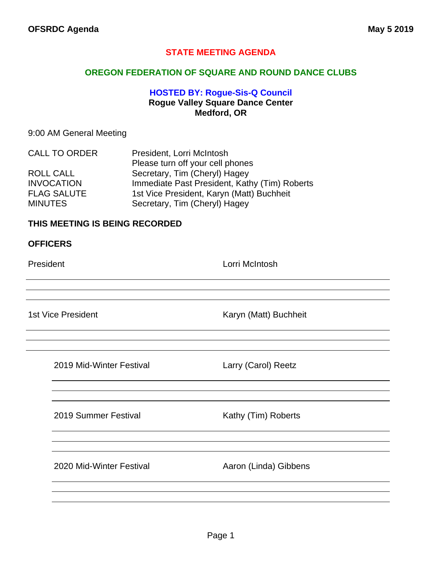## **STATE MEETING AGENDA**

## **OREGON FEDERATION OF SQUARE AND ROUND DANCE CLUBS**

## **HOSTED BY: Rogue-Sis-Q Council Rogue Valley Square Dance Center Medford, OR**

## 9:00 AM General Meeting

| <b>CALL TO ORDER</b> | President, Lorri McIntosh                     |
|----------------------|-----------------------------------------------|
|                      | Please turn off your cell phones              |
| ROLL CALL            | Secretary, Tim (Cheryl) Hagey                 |
| <b>INVOCATION</b>    | Immediate Past President, Kathy (Tim) Roberts |
| <b>FLAG SALUTE</b>   | 1st Vice President, Karyn (Matt) Buchheit     |
| <b>MINUTES</b>       | Secretary, Tim (Cheryl) Hagey                 |

## **THIS MEETING IS BEING RECORDED**

### **OFFICERS**

President **Lorri McIntosh** 

1st Vice President **Karyn (Matt)** Buchheit

2019 Mid-Winter Festival Larry (Carol) Reetz

2019 Summer Festival Kathy (Tim) Roberts

2020 Mid-Winter Festival **Aaron (Linda)** Gibbens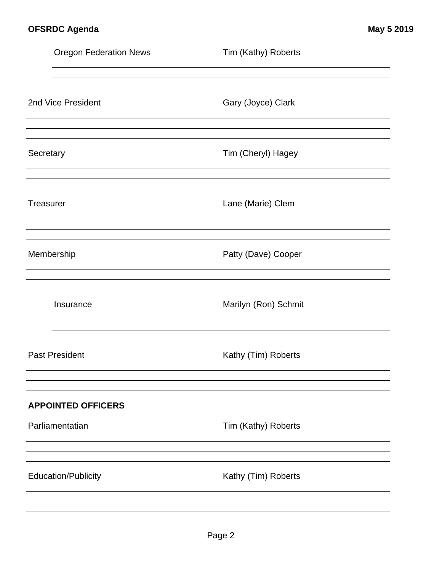|           | <b>Oregon Federation News</b> | Tim (Kathy) Roberts  |
|-----------|-------------------------------|----------------------|
|           |                               |                      |
|           | 2nd Vice President            | Gary (Joyce) Clark   |
| Secretary |                               | Tim (Cheryl) Hagey   |
| Treasurer |                               | Lane (Marie) Clem    |
|           | Membership                    | Patty (Dave) Cooper  |
|           | Insurance                     | Marilyn (Ron) Schmit |
|           | <b>Past President</b>         | Kathy (Tim) Roberts  |
|           | <b>APPOINTED OFFICERS</b>     |                      |
|           | Parliamentatian               | Tim (Kathy) Roberts  |
|           | <b>Education/Publicity</b>    | Kathy (Tim) Roberts  |
|           |                               |                      |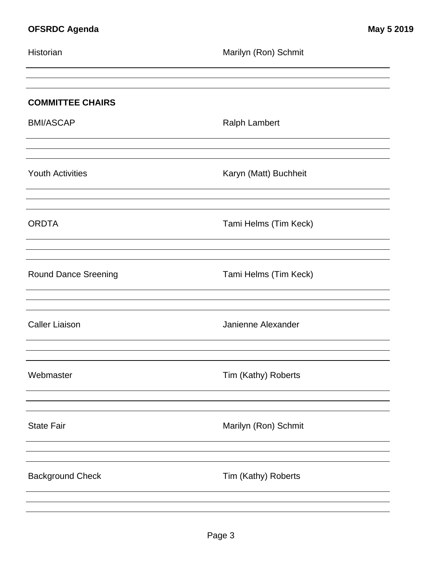| Historian                   | Marilyn (Ron) Schmit  |
|-----------------------------|-----------------------|
| <b>COMMITTEE CHAIRS</b>     |                       |
| <b>BMI/ASCAP</b>            | <b>Ralph Lambert</b>  |
| <b>Youth Activities</b>     | Karyn (Matt) Buchheit |
| <b>ORDTA</b>                | Tami Helms (Tim Keck) |
| <b>Round Dance Sreening</b> | Tami Helms (Tim Keck) |
| <b>Caller Liaison</b>       | Janienne Alexander    |
| Webmaster                   | Tim (Kathy) Roberts   |
| <b>State Fair</b>           | Marilyn (Ron) Schmit  |
| <b>Background Check</b>     | Tim (Kathy) Roberts   |
|                             |                       |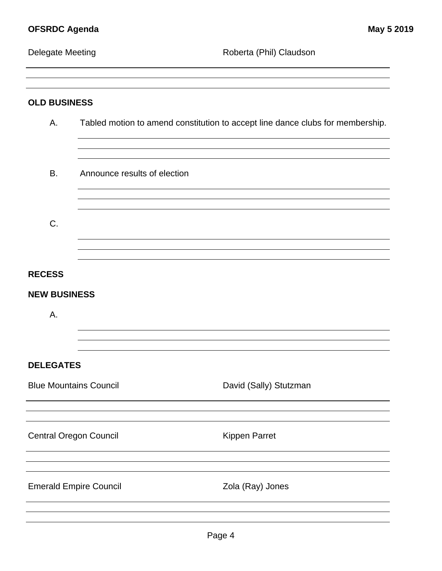<u> 1980 - Johann Barbara, martxa a</u>

Delegate Meeting **Contains a Container Container Container** Roberta (Phil) Claudson

| <b>OLD BUSINESS</b>           |                                                                                |  |  |  |
|-------------------------------|--------------------------------------------------------------------------------|--|--|--|
| Α.                            | Tabled motion to amend constitution to accept line dance clubs for membership. |  |  |  |
| В.                            | Announce results of election                                                   |  |  |  |
| C.                            |                                                                                |  |  |  |
| <b>RECESS</b>                 |                                                                                |  |  |  |
| <b>NEW BUSINESS</b>           |                                                                                |  |  |  |
| Α.                            |                                                                                |  |  |  |
| <b>DELEGATES</b>              |                                                                                |  |  |  |
| <b>Blue Mountains Council</b> | David (Sally) Stutzman                                                         |  |  |  |
|                               |                                                                                |  |  |  |
| <b>Central Oregon Council</b> | <b>Kippen Parret</b>                                                           |  |  |  |
|                               |                                                                                |  |  |  |
| <b>Emerald Empire Council</b> | Zola (Ray) Jones                                                               |  |  |  |
|                               |                                                                                |  |  |  |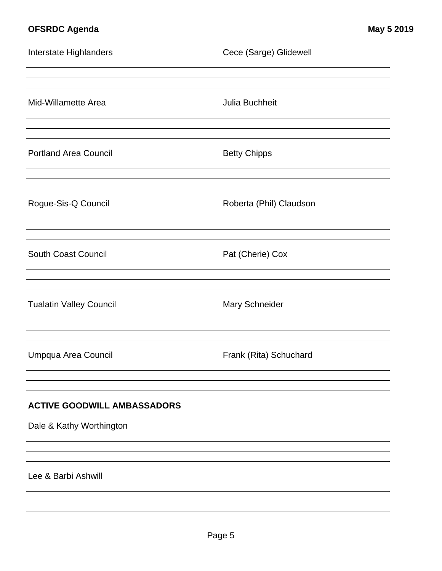# **OFSRDC Agenda May 5 2019**

| Interstate Highlanders             | Cece (Sarge) Glidewell  |  |  |  |
|------------------------------------|-------------------------|--|--|--|
|                                    |                         |  |  |  |
| Mid-Willamette Area                | Julia Buchheit          |  |  |  |
|                                    |                         |  |  |  |
| <b>Portland Area Council</b>       | <b>Betty Chipps</b>     |  |  |  |
|                                    |                         |  |  |  |
| Rogue-Sis-Q Council                | Roberta (Phil) Claudson |  |  |  |
|                                    |                         |  |  |  |
| <b>South Coast Council</b>         | Pat (Cherie) Cox        |  |  |  |
|                                    |                         |  |  |  |
| <b>Tualatin Valley Council</b>     | Mary Schneider          |  |  |  |
|                                    |                         |  |  |  |
| Umpqua Area Council                | Frank (Rita) Schuchard  |  |  |  |
|                                    |                         |  |  |  |
| <b>ACTIVE GOODWILL AMBASSADORS</b> |                         |  |  |  |
| Dale & Kathy Worthington           |                         |  |  |  |
|                                    |                         |  |  |  |
| Lee & Barbi Ashwill                |                         |  |  |  |
|                                    |                         |  |  |  |
|                                    |                         |  |  |  |